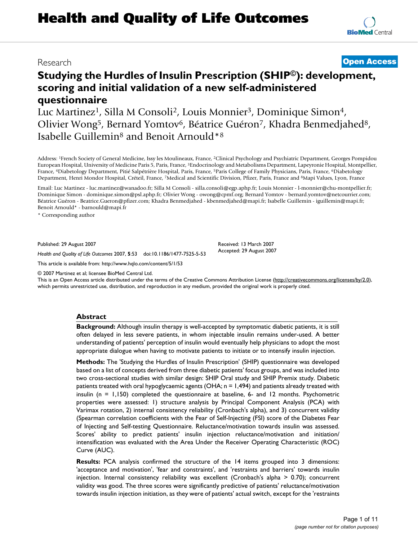# **Studying the Hurdles of Insulin Prescription (SHIP©): development, scoring and initial validation of a new self-administered questionnaire**

Luc Martinez<sup>1</sup>, Silla M Consoli<sup>2</sup>, Louis Monnier<sup>3</sup>, Dominique Simon<sup>4</sup>, Olivier Wong<sup>5</sup>, Bernard Yomtov<sup>6</sup>, Béatrice Guéron<sup>7</sup>, Khadra Benmedjahed<sup>8</sup>, Isabelle Guillemin8 and Benoit Arnould\*8

Address: 1French Society of General Medicine, Issy les Moulineaux, France, 2Clinical Psychology and Psychiatric Department, Georges Pompidou European Hospital, University of Medicine Paris 5, Paris, France, 3Endocrinology and Metabolisms Department, Lapeyronie Hospital, Montpellier, France, 4Diabetology Department, Pitié Salpétrière Hospital, Paris, France, 5Paris College of Family Physicians, Paris, France, 6Diabetology Department, Henri Mondor Hospital, Créteil, France, 7Medical and Scientific Division, Pfizer, Paris, France and 8Mapi Values, Lyon, France

Email: Luc Martinez - luc.martinez@wanadoo.fr; Silla M Consoli - silla.consoli@egp.aphp.fr; Louis Monnier - l-monnier@chu-montpellier.fr; Dominique Simon - dominique.simon@psl.aphp.fr; Olivier Wong - owong@cpmf.org; Bernard Yomtov - bernard.yomtov@netcourrier.com; Béatrice Guéron - Beatrice.Gueron@pfizer.com; Khadra Benmedjahed - kbenmedjahed@mapi.fr; Isabelle Guillemin - iguillemin@mapi.fr; Benoit Arnould\* - barnould@mapi.fr

\* Corresponding author

Published: 29 August 2007

*Health and Quality of Life Outcomes* 2007, **5**:53 doi:10.1186/1477-7525-5-53

[This article is available from: http://www.hqlo.com/content/5/1/53](http://www.hqlo.com/content/5/1/53)

© 2007 Martinez et al; licensee BioMed Central Ltd.

This is an Open Access article distributed under the terms of the Creative Commons Attribution License [\(http://creativecommons.org/licenses/by/2.0\)](http://creativecommons.org/licenses/by/2.0), which permits unrestricted use, distribution, and reproduction in any medium, provided the original work is properly cited.

#### **Abstract**

**Background:** Although insulin therapy is well-accepted by symptomatic diabetic patients, it is still often delayed in less severe patients, in whom injectable insulin remains under-used. A better understanding of patients' perception of insulin would eventually help physicians to adopt the most appropriate dialogue when having to motivate patients to initiate or to intensify insulin injection.

**Methods:** The 'Studying the Hurdles of Insulin Prescription' (SHIP) questionnaire was developed based on a list of concepts derived from three diabetic patients' focus groups, and was included into two cross-sectional studies with similar design: SHIP Oral study and SHIP Premix study. Diabetic patients treated with oral hypoglycaemic agents (OHA; n = 1,494) and patients already treated with insulin ( $n = 1,150$ ) completed the questionnaire at baseline, 6- and 12 months. Psychometric properties were assessed: 1) structure analysis by Principal Component Analysis (PCA) with Varimax rotation, 2) internal consistency reliability (Cronbach's alpha), and 3) concurrent validity (Spearman correlation coefficients with the Fear of Self-Injecting (FSI) score of the Diabetes Fear of Injecting and Self-testing Questionnaire. Reluctance/motivation towards insulin was assessed. Scores' ability to predict patients' insulin injection reluctance/motivation and initiation/ intensification was evaluated with the Area Under the Receiver Operating Characteristic (ROC) Curve (AUC).

**Results:** PCA analysis confirmed the structure of the 14 items grouped into 3 dimensions: 'acceptance and motivation', 'fear and constraints', and 'restraints and barriers' towards insulin injection. Internal consistency reliability was excellent (Cronbach's alpha > 0.70); concurrent validity was good. The three scores were significantly predictive of patients' reluctance/motivation towards insulin injection initiation, as they were of patients' actual switch, except for the 'restraints



# Research **[Open Access](http://www.biomedcentral.com/info/about/charter/)**

Received: 13 March 2007 Accepted: 29 August 2007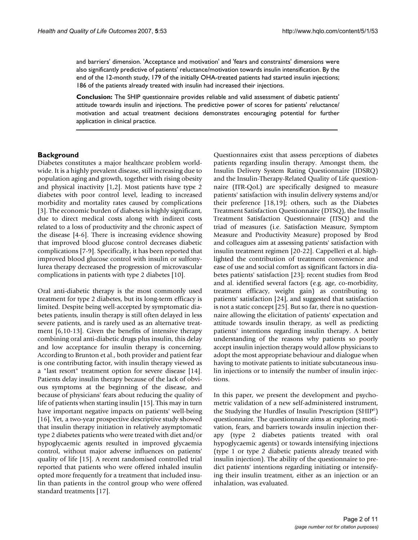and barriers' dimension. 'Acceptance and motivation' and 'fears and constraints' dimensions were also significantly predictive of patients' reluctance/motivation towards insulin intensification. By the end of the 12-month study, 179 of the initially OHA-treated patients had started insulin injections; 186 of the patients already treated with insulin had increased their injections.

**Conclusion:** The SHIP questionnaire provides reliable and valid assessment of diabetic patients' attitude towards insulin and injections. The predictive power of scores for patients' reluctance/ motivation and actual treatment decisions demonstrates encouraging potential for further application in clinical practice.

#### **Background**

Diabetes constitutes a major healthcare problem worldwide. It is a highly prevalent disease, still increasing due to population aging and growth, together with rising obesity and physical inactivity [1,2]. Most patients have type 2 diabetes with poor control level, leading to increased morbidity and mortality rates caused by complications [3]. The economic burden of diabetes is highly significant, due to direct medical costs along with indirect costs related to a loss of productivity and the chronic aspect of the disease [4-6]. There is increasing evidence showing that improved blood glucose control decreases diabetic complications [7-9]. Specifically, it has been reported that improved blood glucose control with insulin or sulfonylurea therapy decreased the progression of microvascular complications in patients with type 2 diabetes [10].

Oral anti-diabetic therapy is the most commonly used treatment for type 2 diabetes, but its long-term efficacy is limited. Despite being well-accepted by symptomatic diabetes patients, insulin therapy is still often delayed in less severe patients, and is rarely used as an alternative treatment [6,10-13]. Given the benefits of intensive therapy combining oral anti-diabetic drugs plus insulin, this delay and low acceptance for insulin therapy is concerning. According to Brunton et al., both provider and patient fear is one contributing factor, with insulin therapy viewed as a "last resort" treatment option for severe disease [14]. Patients delay insulin therapy because of the lack of obvious symptoms at the beginning of the disease, and because of physicians' fears about reducing the quality of life of patients when starting insulin [15]. This may in turn have important negative impacts on patients' well-being [16]. Yet, a two-year prospective descriptive study showed that insulin therapy initiation in relatively asymptomatic type 2 diabetes patients who were treated with diet and/or hypoglycaemic agents resulted in improved glycaemia control, without major adverse influences on patients' quality of life [15]. A recent randomised controlled trial reported that patients who were offered inhaled insulin opted more frequently for a treatment that included insulin than patients in the control group who were offered standard treatments [17].

Questionnaires exist that assess perceptions of diabetes patients regarding insulin therapy. Amongst them, the Insulin Delivery System Rating Questionnaire (IDSRQ) and the Insulin-Therapy-Related Quality of Life questionnaire (ITR-QoL) are specifically designed to measure patients' satisfaction with insulin delivery systems and/or their preference [18,19]; others, such as the Diabetes Treatment Satisfaction Questionnaire (DTSQ), the Insulin Treatment Satisfaction Questionnaire (ITSQ) and the triad of measures (i.e. Satisfaction Measure, Symptom Measure and Productivity Measure) proposed by Brod and colleagues aim at assessing patients' satisfaction with insulin treatment regimen [20-22]. Cappelleri et al. highlighted the contribution of treatment convenience and ease of use and social comfort as significant factors in diabetes patients' satisfaction [23]; recent studies from Brod and al. identified several factors (e.g. age, co-morbidity, treatment efficacy, weight gain) as contributing to patients' satisfaction [24], and suggested that satisfaction is not a static concept [25]. But so far, there is no questionnaire allowing the elicitation of patients' expectation and attitude towards insulin therapy, as well as predicting patients' intentions regarding insulin therapy. A better understanding of the reasons why patients so poorly accept insulin injection therapy would allow physicians to adopt the most appropriate behaviour and dialogue when having to motivate patients to initiate subcutaneous insulin injections or to intensify the number of insulin injections.

In this paper, we present the development and psychometric validation of a new self-administered instrument, the Studying the Hurdles of Insulin Prescription (SHIP©) questionnaire. The questionnaire aims at exploring motivation, fears, and barriers towards insulin injection therapy (type 2 diabetes patients treated with oral hypoglycaemic agents) or towards intensifying injections (type 1 or type 2 diabetic patients already treated with insulin injection). The ability of the questionnaire to predict patients' intentions regarding initiating or intensifying their insulin treatment, either as an injection or an inhalation, was evaluated.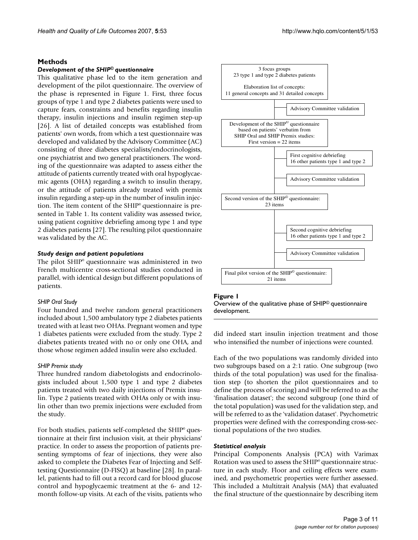### **Methods**

### *Development of the SHIP© questionnaire*

This qualitative phase led to the item generation and development of the pilot questionnaire. The overview of the phase is represented in Figure 1. First, three focus groups of type 1 and type 2 diabetes patients were used to capture fears, constraints and benefits regarding insulin therapy, insulin injections and insulin regimen step-up [26]. A list of detailed concepts was established from patients' own words, from which a test questionnaire was developed and validated by the Advisory Committee (AC) consisting of three diabetes specialists/endocrinologists, one psychiatrist and two general practitioners. The wording of the questionnaire was adapted to assess either the attitude of patients currently treated with oral hypoglycaemic agents (OHA) regarding a switch to insulin therapy, or the attitude of patients already treated with premix insulin regarding a step-up in the number of insulin injection. The item content of the SHIP<sup>®</sup> questionnaire is presented in Table 1. Its content validity was assessed twice, using patient cognitive debriefing among type 1 and type 2 diabetes patients [27]. The resulting pilot questionnaire was validated by the AC.

#### *Study design and patient populations*

The pilot SHIP<sup>®</sup> questionnaire was administered in two French multicentre cross-sectional studies conducted in parallel, with identical design but different populations of patients.

### *SHIP Oral Study*

Four hundred and twelve random general practitioners included about 1,500 ambulatory type 2 diabetes patients treated with at least two OHAs. Pregnant women and type 1 diabetes patients were excluded from the study. Type 2 diabetes patients treated with no or only one OHA, and those whose regimen added insulin were also excluded.

#### *SHIP Premix study*

Three hundred random diabetologists and endocrinologists included about 1,500 type 1 and type 2 diabetes patients treated with two daily injections of Premix insulin. Type 2 patients treated with OHAs only or with insulin other than two premix injections were excluded from the study.

For both studies, patients self-completed the SHIP<sup>®</sup> questionnaire at their first inclusion visit, at their physicians' practice. In order to assess the proportion of patients presenting symptoms of fear of injections, they were also asked to complete the Diabetes Fear of Injecting and Selftesting Questionnaire (D-FISQ) at baseline [28]. In parallel, patients had to fill out a record card for blood glucose control and hypoglycaemic treatment at the 6- and 12 month follow-up visits. At each of the visits, patients who



#### Figure 1

Overview of the qualitative phase of SHIP© questionnaire development.

did indeed start insulin injection treatment and those who intensified the number of injections were counted.

Each of the two populations was randomly divided into two subgroups based on a 2:1 ratio. One subgroup (two thirds of the total population) was used for the finalisation step (to shorten the pilot questionnaires and to define the process of scoring) and will be referred to as the 'finalisation dataset'; the second subgroup (one third of the total population) was used for the validation step, and will be referred to as the 'validation dataset'. Psychometric properties were defined with the corresponding cross-sectional populations of the two studies.

#### *Statistical analysis*

Principal Components Analysis (PCA) with Varimax Rotation was used to assess the SHIP<sup>®</sup> questionnaire structure in each study. Floor and ceiling effects were examined, and psychometric properties were further assessed. This included a Multitrait Analysis (MA) that evaluated the final structure of the questionnaire by describing item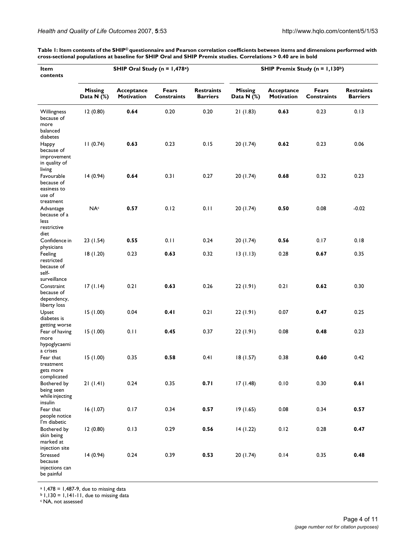a 1,478 = 1,487-9, due to missing data  $b$  1,130 = 1,141-11, due to missing data

c NA, not assessed

| <i>nd Quality of Life Outcomes 2007</i> , 5:53 |  |  |  |  |
|------------------------------------------------|--|--|--|--|
|                                                |  |  |  |  |

**Table 1: Item contents of the SHIP© questionnaire and Pearson correlation coefficients between items and dimensions performed with cross-sectional populations at baseline for SHIP Oral and SHIP Premix studies. Correlations > 0.40 are in bold**

| Item<br>contents                                                        | SHIP Oral Study ( $n = 1,478$ <sup>a</sup> ) |                          |                             |                                      | SHIP Premix Study (n = 1,130b) |                          |                             |                                      |
|-------------------------------------------------------------------------|----------------------------------------------|--------------------------|-----------------------------|--------------------------------------|--------------------------------|--------------------------|-----------------------------|--------------------------------------|
|                                                                         | <b>Missing</b><br>Data $N$ (%)               | Acceptance<br>Motivation | Fears<br><b>Constraints</b> | <b>Restraints</b><br><b>Barriers</b> | <b>Missing</b><br>Data N $(%)$ | Acceptance<br>Motivation | Fears<br><b>Constraints</b> | <b>Restraints</b><br><b>Barriers</b> |
| Willingness<br>because of<br>more<br>balanced<br>diabetes               | 12(0.80)                                     | 0.64                     | 0.20                        | 0.20                                 | 21(1.83)                       | 0.63                     | 0.23                        | 0.13                                 |
| Happy<br>because of<br>improvement<br>in quality of<br>living           | 11(0.74)                                     | 0.63                     | 0.23                        | 0.15                                 | 20(1.74)                       | 0.62                     | 0.23                        | 0.06                                 |
| Favourable<br>because of<br>easiness to<br>use of<br>treatment          | 14 (0.94)                                    | 0.64                     | 0.31                        | 0.27                                 | 20(1.74)                       | 0.68                     | 0.32                        | 0.23                                 |
| Advantage<br>because of a<br>less<br>restrictive<br>diet                | <b>NA</b> <sup>c</sup>                       | 0.57                     | 0.12                        | 0.11                                 | 20(1.74)                       | 0.50                     | 0.08                        | $-0.02$                              |
| Confidence in                                                           | 23 (1.54)                                    | 0.55                     | 0.11                        | 0.24                                 | 20(1.74)                       | 0.56                     | 0.17                        | 0.18                                 |
| physicians<br>Feeling<br>restricted<br>because of<br>self-              | 18(1.20)                                     | 0.23                     | 0.63                        | 0.32                                 | 13(1.13)                       | 0.28                     | 0.67                        | 0.35                                 |
| surveillance<br>Constraint<br>because of<br>dependency,<br>liberty loss | 17(1.14)                                     | 0.21                     | 0.63                        | 0.26                                 | 22(1.91)                       | 0.21                     | 0.62                        | 0.30                                 |
| Upset<br>diabetes is<br>getting worse                                   | 15(1.00)                                     | 0.04                     | 0.41                        | 0.21                                 | 22 (1.91)                      | 0.07                     | 0.47                        | 0.25                                 |
| Fear of having<br>more<br>hypoglycaemi                                  | 15(1.00)                                     | 0.11                     | 0.45                        | 0.37                                 | 22 (1.91)                      | 0.08                     | 0.48                        | 0.23                                 |
| a crises<br>Fear that<br>treatment<br>gets more<br>complicated          | 15(1.00)                                     | 0.35                     | 0.58                        | 0.41                                 | 18(1.57)                       | 0.38                     | 0.60                        | 0.42                                 |
| Bothered by<br>being seen<br>while injecting<br>insulin                 | 21(1.41)                                     | 0.24                     | 0.35                        | 0.71                                 | 17(1.48)                       | 0.10                     | 0.30                        | 0.61                                 |
| Fear that<br>people notice<br>I'm diabetic                              | 16(1.07)                                     | 0.17                     | 0.34                        | 0.57                                 | 19(1.65)                       | 0.08                     | 0.34                        | 0.57                                 |
| Bothered by<br>skin being<br>marked at<br>injection site                | 12 (0.80)                                    | 0.13                     | 0.29                        | 0.56                                 | 14(1.22)                       | 0.12                     | 0.28                        | 0.47                                 |
| Stressed<br>because<br>injections can<br>be painful                     | 14(0.94)                                     | 0.24                     | 0.39                        | 0.53                                 | 20(1.74)                       | 0.14                     | 0.35                        | 0.48                                 |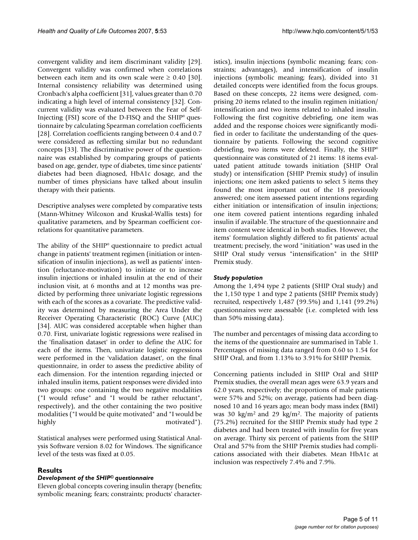convergent validity and item discriminant validity [29]. Convergent validity was confirmed when correlations between each item and its own scale were  $\geq 0.40$  [30]. Internal consistency reliability was determined using Cronbach's alpha coefficient [31], values greater than 0.70 indicating a high level of internal consistency [32]. Concurrent validity was evaluated between the Fear of Self-Injecting (FSI) score of the D-FISQ and the  $SHIP<sup>°</sup>$  questionnaire by calculating Spearman correlation coefficients [28]. Correlation coefficients ranging between 0.4 and 0.7 were considered as reflecting similar but no redundant concepts [33]. The discriminative power of the questionnaire was established by comparing groups of patients based on age, gender, type of diabetes, time since patients' diabetes had been diagnosed, HbA1c dosage, and the number of times physicians have talked about insulin therapy with their patients.

Descriptive analyses were completed by comparative tests (Mann-Whitney Wilcoxon and Kruskal-Wallis tests) for qualitative parameters, and by Spearman coefficient correlations for quantitative parameters.

The ability of the SHIP<sup>®</sup> questionnaire to predict actual change in patients' treatment regimen (initiation or intensification of insulin injections), as well as patients' intention (reluctance-motivation) to initiate or to increase insulin injections or inhaled insulin at the end of their inclusion visit, at 6 months and at 12 months was predicted by performing three univariate logistic regressions with each of the scores as a covariate. The predictive validity was determined by measuring the Area Under the Receiver Operating Characteristic (ROC) Curve (AUC) [34]. AUC was considered acceptable when higher than 0.70. First, univariate logistic regressions were realised in the 'finalisation dataset' in order to define the AUC for each of the items. Then, univariate logistic regressions were performed in the 'validation dataset', on the final questionnaire, in order to assess the predictive ability of each dimension. For the intention regarding injected or inhaled insulin items, patient responses were divided into two groups: one containing the two negative modalities ("I would refuse" and "I would be rather reluctant", respectively), and the other containing the two positive modalities ("I would be quite motivated" and "I would be highly motivated").

Statistical analyses were performed using Statistical Analysis Software version 8.02 for Windows. The significance level of the tests was fixed at 0.05.

#### **Results**

#### *Development of the SHIP© questionnaire*

Eleven global concepts covering insulin therapy (benefits; symbolic meaning; fears; constraints; products' characteristics), insulin injections (symbolic meaning; fears; constraints; advantages), and intensification of insulin injections (symbolic meaning; fears), divided into 31 detailed concepts were identified from the focus groups. Based on these concepts, 22 items were designed, comprising 20 items related to the insulin regimen initiation/ intensification and two items related to inhaled insulin. Following the first cognitive debriefing, one item was added and the response choices were significantly modified in order to facilitate the understanding of the questionnaire by patients. Following the second cognitive debriefing, two items were deleted. Finally, the SHIP<sup>®</sup> questionnaire was constituted of 21 items: 18 items evaluated patient attitude towards initiation (SHIP Oral study) or intensification (SHIP Premix study) of insulin injections; one item asked patients to select 5 items they found the most important out of the 18 previously answered; one item assessed patient intentions regarding either initiation or intensification of insulin injections; one item covered patient intentions regarding inhaled insulin if available. The structure of the questionnaire and item content were identical in both studies. However, the items' formulation slightly differed to fit patients' actual treatment; precisely, the word "initiation" was used in the SHIP Oral study versus "intensification" in the SHIP Premix study.

#### *Study population*

Among the 1,494 type 2 patients (SHIP Oral study) and the 1,150 type 1 and type 2 patients (SHIP Premix study) recruited, respectively 1,487 (99.5%) and 1,141 (99.2%) questionnaires were assessable (i.e. completed with less than 50% missing data).

The number and percentages of missing data according to the items of the questionnaire are summarised in Table 1. Percentages of missing data ranged from 0.60 to 1.54 for SHIP Oral, and from 1.13% to 3.91% for SHIP Premix.

Concerning patients included in SHIP Oral and SHIP Premix studies, the overall mean ages were 63.9 years and 62.0 years, respectively; the proportions of male patients were 57% and 52%; on average, patients had been diagnosed 10 and 16 years ago; mean body mass index (BMI) was 30 kg/m2 and 29 kg/m2. The majority of patients (75.2%) recruited for the SHIP Premix study had type 2 diabetes and had been treated with insulin for five years on average. Thirty six percent of patients from the SHIP Oral and 57% from the SHIP Premix studies had complications associated with their diabetes. Mean HbA1c at inclusion was respectively 7.4% and 7.9%.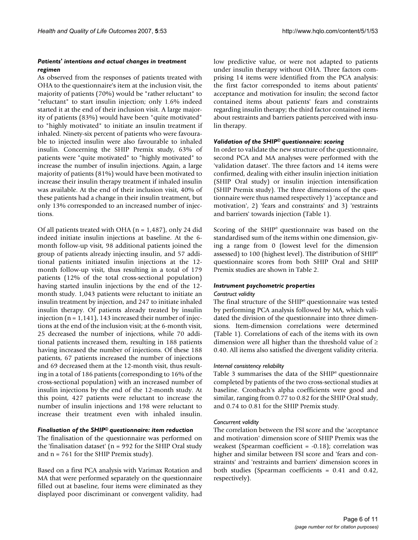#### *Patients' intentions and actual changes in treatment regimen*

As observed from the responses of patients treated with OHA to the questionnaire's item at the inclusion visit, the majority of patients (70%) would be "rather reluctant" to "reluctant" to start insulin injection; only 1.6% indeed started it at the end of their inclusion visit. A large majority of patients (83%) would have been "quite motivated" to "highly motivated" to initiate an insulin treatment if inhaled. Ninety-six percent of patients who were favourable to injected insulin were also favourable to inhaled insulin. Concerning the SHIP Premix study, 63% of patients were "quite motivated" to "highly motivated" to increase the number of insulin injections. Again, a large majority of patients (81%) would have been motivated to increase their insulin therapy treatment if inhaled insulin was available. At the end of their inclusion visit, 40% of these patients had a change in their insulin treatment, but only 13% corresponded to an increased number of injections.

Of all patients treated with OHA ( $n = 1,487$ ), only 24 did indeed initiate insulin injections at baseline. At the 6 month follow-up visit, 98 additional patients joined the group of patients already injecting insulin, and 57 additional patients initiated insulin injections at the 12 month follow-up visit, thus resulting in a total of 179 patients (12% of the total cross-sectional population) having started insulin injections by the end of the 12 month study. 1,043 patients were reluctant to initiate an insulin treatment by injection, and 247 to initiate inhaled insulin therapy. Of patients already treated by insulin injection ( $n = 1,141$ ), 143 increased their number of injections at the end of the inclusion visit; at the 6-month visit, 25 decreased the number of injections, while 70 additional patients increased them, resulting in 188 patients having increased the number of injections. Of these 188 patients, 67 patients increased the number of injections and 69 decreased them at the 12-month visit, thus resulting in a total of 186 patients (corresponding to 16% of the cross-sectional population) with an increased number of insulin injections by the end of the 12-month study. At this point, 427 patients were reluctant to increase the number of insulin injections and 198 were reluctant to increase their treatment even with inhaled insulin.

#### *Finalisation of the SHIP© questionnaire: item reduction*

The finalisation of the questionnaire was performed on the 'finalisation dataset' ( $n = 992$  for the SHIP Oral study and  $n = 761$  for the SHIP Premix study).

Based on a first PCA analysis with Varimax Rotation and MA that were performed separately on the questionnaire filled out at baseline, four items were eliminated as they displayed poor discriminant or convergent validity, had low predictive value, or were not adapted to patients under insulin therapy without OHA. Three factors comprising 14 items were identified from the PCA analysis: the first factor corresponded to items about patients' acceptance and motivation for insulin; the second factor contained items about patients' fears and constraints regarding insulin therapy; the third factor contained items about restraints and barriers patients perceived with insulin therapy.

# *Validation of the SHIP© questionnaire: scoring*

In order to validate the new structure of the questionnaire, second PCA and MA analyses were performed with the 'validation dataset'. The three factors and 14 items were confirmed, dealing with either insulin injection initiation (SHIP Oral study) or insulin injection intensification (SHIP Premix study). The three dimensions of the questionnaire were thus named respectively 1) 'acceptance and motivation', 2) 'fears and constraints' and 3) 'restraints and barriers' towards injection (Table 1).

Scoring of the SHIP<sup>®</sup> questionnaire was based on the standardised sum of the items within one dimension, giving a range from 0 (lowest level for the dimension assessed) to 100 (highest level). The distribution of SHIP<sup>®</sup> questionnaire scores from both SHIP Oral and SHIP Premix studies are shown in Table 2.

# *Instrument psychometric properties*

# *Construct validity*

The final structure of the SHIP<sup>®</sup> questionnaire was tested by performing PCA analysis followed by MA, which validated the division of the questionnaire into three dimensions. Item-dimension correlations were determined (Table 1). Correlations of each of the items with its own dimension were all higher than the threshold value of  $\geq$ 0.40. All items also satisfied the divergent validity criteria.

# *Internal consistency reliability*

Table 3 summarises the data of the  $SHIP<sup>°</sup>$  questionnaire completed by patients of the two cross-sectional studies at baseline. Cronbach's alpha coefficients were good and similar, ranging from 0.77 to 0.82 for the SHIP Oral study, and 0.74 to 0.81 for the SHIP Premix study.

# *Concurrent validity*

The correlation between the FSI score and the 'acceptance and motivation' dimension score of SHIP Premix was the weakest (Spearman coefficient = -0.18); correlation was higher and similar between FSI score and 'fears and constraints' and 'restraints and barriers' dimension scores in both studies (Spearman coefficients = 0.41 and 0.42, respectively).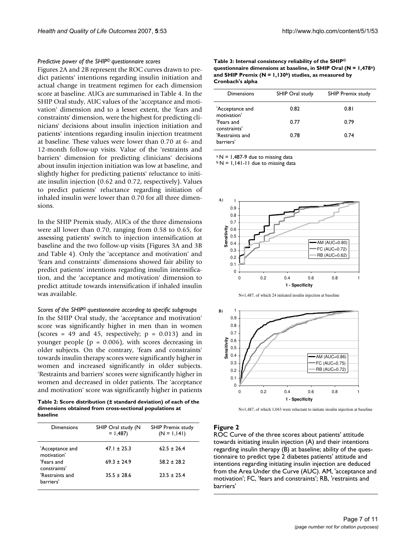#### *Predictive power of the SHIP© questionnaire scores*

Figures 2A and 2B represent the ROC curves drawn to predict patients' intentions regarding insulin initiation and actual change in treatment regimen for each dimension score at baseline. AUCs are summarised in Table 4. In the SHIP Oral study, AUC values of the 'acceptance and motivation' dimension and to a lesser extent, the 'fears and constraints' dimension, were the highest for predicting clinicians' decisions about insulin injection initiation and patients' intentions regarding insulin injection treatment at baseline. These values were lower than 0.70 at 6- and 12-month follow-up visits. Value of the 'restraints and barriers' dimension for predicting clinicians' decisions about insulin injection initiation was low at baseline, and slightly higher for predicting patients' reluctance to initiate insulin injection (0.62 and 0.72, respectively). Values to predict patients' reluctance regarding initiation of inhaled insulin were lower than 0.70 for all three dimensions.

In the SHIP Premix study, AUCs of the three dimensions were all lower than 0.70, ranging from 0.58 to 0.65, for assessing patients' switch to injection intensification at baseline and the two follow-up visits (Figures 3A and 3B and Table 4). Only the 'acceptance and motivation' and 'fears and constraints' dimensions showed fair ability to predict patients' intentions regarding insulin intensification, and the 'acceptance and motivation' dimension to predict attitude towards intensification if inhaled insulin was available.

*Scores of the SHIP© questionnaire according to specific subgroups* In the SHIP Oral study, the 'acceptance and motivation' score was significantly higher in men than in women (scores = 49 and 45, respectively;  $p = 0.013$ ) and in younger people ( $p = 0.006$ ), with scores decreasing in older subjects. On the contrary, 'fears and constraints' towards insulin therapy scores were significantly higher in women and increased significantly in older subjects. 'Restraints and barriers' scores were significantly higher in women and decreased in older patients. The 'acceptance and motivation' score was significantly higher in patients

**Table 2: Score distribution (± standard deviation) of each of the dimensions obtained from cross-sectional populations at baseline**

| Dimensions                     | SHIP Oral study (N<br>$= 1,487$ | <b>SHIP Premix study</b><br>$(N = 1, 141)$ |
|--------------------------------|---------------------------------|--------------------------------------------|
| 'Acceptance and<br>motivation' | $47.1 \pm 25.3$                 | $62.5 + 26.4$                              |
| 'Fears and<br>constraints'     | $69.3 + 24.9$                   | $58.2 + 28.2$                              |
| 'Restraints and<br>barriers'   | $35.5 + 28.6$                   | $23.5 + 25.4$                              |

**Table 3: Internal consistency reliability of the SHIP© questionnaire dimensions at baseline, in SHIP Oral (N = 1,478a) and SHIP Premix (N = 1,130b) studies, as measured by Cronbach's alpha**

| <b>Dimensions</b>              | SHIP Oral study | <b>SHIP Premix study</b> |
|--------------------------------|-----------------|--------------------------|
| 'Acceptance and<br>motivation' | 0.82            | 0.81                     |
| 'Fears and<br>constraints'     | 0.77            | 0.79                     |
| 'Restraints and<br>barriers'   | 0.78            | 0.74                     |

 $a N = 1,487-9$  due to missing data

 $b N = 1,141-11$  due to missing data







N=1,487, of which 1,043 were reluctant to initiate insulin injection at baseline

#### **Figure 2**

ROC Curve of the three scores about patients' attitude towards initiating insulin injection (A) and their intentions regarding insulin therapy (B) at baseline; ability of the questionnaire to predict type 2 diabetes patients' attitude and intentions regarding initiating insulin injection are deduced from the Area Under the Curve (AUC). AM, 'acceptance and motivation'; FC, 'fears and constraints'; RB, 'restraints and barriers'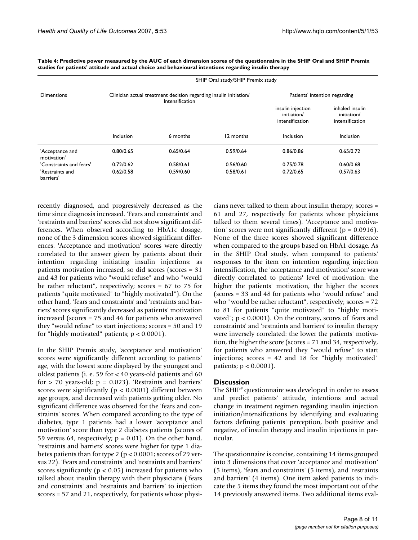|                                | SHIP Oral study/SHIP Premix study |                                                                                      |                               |                                                     |                                                   |  |  |
|--------------------------------|-----------------------------------|--------------------------------------------------------------------------------------|-------------------------------|-----------------------------------------------------|---------------------------------------------------|--|--|
| Dimensions                     |                                   | Clinician actual treatment decision regarding insulin initiation/<br>Intensification | Patients' intention regarding |                                                     |                                                   |  |  |
|                                |                                   |                                                                                      |                               | insulin injection<br>initiation/<br>intensification | inhaled insulin<br>initiation/<br>intensification |  |  |
|                                | Inclusion                         | 6 months                                                                             | 12 months                     | Inclusion                                           | <b>Inclusion</b>                                  |  |  |
| 'Acceptance and<br>motivation' | 0.80/0.65                         | 0.65/0.64                                                                            | 0.59/0.64                     | 0.86/0.86                                           | 0.65/0.72                                         |  |  |
| 'Constraints and fears'        | 0.72/0.62                         | 0.58/0.61                                                                            | 0.56/0.60                     | 0.75/0.78                                           | 0.60/0.68                                         |  |  |
| 'Restraints and<br>barriers'   | 0.62/0.58                         | 0.59/0.60                                                                            | 0.58/0.61                     | 0.72/0.65                                           | 0.57/0.63                                         |  |  |

**Table 4: Predictive power measured by the AUC of each dimension scores of the questionnaire in the SHIP Oral and SHIP Premix studies for patients' attitude and actual choice and behavioural intentions regarding insulin therapy**

recently diagnosed, and progressively decreased as the time since diagnosis increased. 'Fears and constraints' and 'restraints and barriers' scores did not show significant differences. When observed according to HbA1c dosage, none of the 3 dimension scores showed significant differences. 'Acceptance and motivation' scores were directly correlated to the answer given by patients about their intention regarding initiating insulin injections: as patients motivation increased, so did scores (scores = 31 and 43 for patients who "would refuse" and who "would be rather reluctant", respectively; scores = 67 to 75 for patients "quite motivated" to "highly motivated"). On the other hand, 'fears and constraints' and 'restraints and barriers' scores significantly decreased as patients' motivation increased (scores = 75 and 46 for patients who answered they "would refuse" to start injections; scores = 50 and 19 for "highly motivated" patients; p < 0.0001).

In the SHIP Premix study, 'acceptance and motivation' scores were significantly different according to patients' age, with the lowest score displayed by the youngest and oldest patients (i. e. 59 for < 40 years-old patients and 60 for  $> 70$  years-old;  $p = 0.023$ ). 'Restraints and barriers' scores were significantly ( $p < 0.0001$ ) different between age groups, and decreased with patients getting older. No significant difference was observed for the 'fears and constraints' scores. When compared according to the type of diabetes, type 1 patients had a lower 'acceptance and motivation' score than type 2 diabetes patients (scores of 59 versus 64, respectively;  $p = 0.01$ ). On the other hand, 'restraints and barriers' scores were higher for type 1 diabetes patients than for type 2 ( $p < 0.0001$ ; scores of 29 versus 22). 'Fears and constraints' and 'restraints and barriers' scores significantly ( $p < 0.05$ ) increased for patients who talked about insulin therapy with their physicians ('fears and constraints' and 'restraints and barriers' to injection scores = 57 and 21, respectively, for patients whose physicians never talked to them about insulin therapy; scores = 61 and 27, respectively for patients whose physicians talked to them several times). 'Acceptance and motivation' scores were not significantly different ( $p = 0.0916$ ). None of the three scores showed significant difference when compared to the groups based on HbA1 dosage. As in the SHIP Oral study, when compared to patients' responses to the item on intention regarding injection intensification, the 'acceptance and motivation' score was directly correlated to patients' level of motivation: the higher the patients' motivation, the higher the scores (scores = 33 and 48 for patients who "would refuse" and who "would be rather reluctant", respectively; scores = 72 to 81 for patients "quite motivated" to "highly motivated"; p < 0.0001). On the contrary, scores of 'fears and constraints' and 'restraints and barriers' to insulin therapy were inversely correlated: the lower the patients' motivation, the higher the score (scores = 71 and 34, respectively, for patients who answered they "would refuse" to start injections; scores = 42 and 18 for "highly motivated" patients; p < 0.0001).

# **Discussion**

The SHIP<sup>®</sup> questionnaire was developed in order to assess and predict patients' attitude, intentions and actual change in treatment regimen regarding insulin injection initiation/intensifications by identifying and evaluating factors defining patients' perception, both positive and negative, of insulin therapy and insulin injections in particular.

The questionnaire is concise, containing 14 items grouped into 3 dimensions that cover 'acceptance and motivation' (5 items), 'fears and constraints' (5 items), and 'restraints and barriers' (4 items). One item asked patients to indicate the 5 items they found the most important out of the 14 previously answered items. Two additional items eval-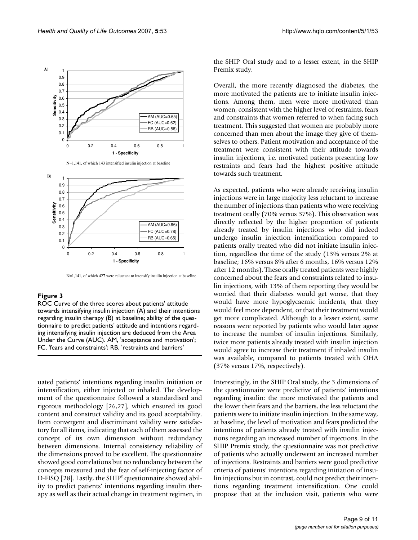

N=1,141, of which 143 intensified insulin injection at baseline



N=1,141, of which 427 were reluctant to intensify insulin injection at baseline

#### Figure 3

ROC Curve of the three scores about patients' attitude towards intensifying insulin injection (A) and their intentions regarding insulin therapy (B) at baseline; ability of the questionnaire to predict patients' attitude and intentions regarding intensifying insulin injection are deduced from the Area Under the Curve (AUC). AM, 'acceptance and motivation'; FC, 'fears and constraints'; RB, 'restraints and barriers'

uated patients' intentions regarding insulin initiation or intensification, either injected or inhaled. The development of the questionnaire followed a standardised and rigorous methodology [26,27], which ensured its good content and construct validity and its good acceptability. Item convergent and discriminant validity were satisfactory for all items, indicating that each of them assessed the concept of its own dimension without redundancy between dimensions. Internal consistency reliability of the dimensions proved to be excellent. The questionnaire showed good correlations but no redundancy between the concepts measured and the fear of self-injecting factor of D-FISQ [28]. Lastly, the SHIP<sup>®</sup> questionnaire showed ability to predict patients' intentions regarding insulin therapy as well as their actual change in treatment regimen, in the SHIP Oral study and to a lesser extent, in the SHIP Premix study.

Overall, the more recently diagnosed the diabetes, the more motivated the patients are to initiate insulin injections. Among them, men were more motivated than women, consistent with the higher level of restraints, fears and constraints that women referred to when facing such treatment. This suggested that women are probably more concerned than men about the image they give of themselves to others. Patient motivation and acceptance of the treatment were consistent with their attitude towards insulin injections, i.e. motivated patients presenting low restraints and fears had the highest positive attitude towards such treatment.

As expected, patients who were already receiving insulin injections were in large majority less reluctant to increase the number of injections than patients who were receiving treatment orally (70% versus 37%). This observation was directly reflected by the higher proportion of patients already treated by insulin injections who did indeed undergo insulin injection intensification compared to patients orally treated who did not initiate insulin injection, regardless the time of the study (13% versus 2% at baseline; 16% versus 8% after 6 months, 16% versus 12% after 12 months). These orally treated patients were highly concerned about the fears and constraints related to insulin injections, with 13% of them reporting they would be worried that their diabetes would get worse, that they would have more hypoglycaemic incidents, that they would feel more dependent, or that their treatment would get more complicated. Although to a lesser extent, same reasons were reported by patients who would later agree to increase the number of insulin injections. Similarly, twice more patients already treated with insulin injection would agree to increase their treatment if inhaled insulin was available, compared to patients treated with OHA (37% versus 17%, respectively).

Interestingly, in the SHIP Oral study, the 3 dimensions of the questionnaire were predictive of patients' intentions regarding insulin: the more motivated the patients and the lower their fears and the barriers, the less reluctant the patients were to initiate insulin injection. In the same way, at baseline, the level of motivation and fears predicted the intentions of patients already treated with insulin injections regarding an increased number of injections. In the SHIP Premix study, the questionnaire was not predictive of patients who actually underwent an increased number of injections. Restraints and barriers were good predictive criteria of patients' intentions regarding initiation of insulin injections but in contrast, could not predict their intentions regarding treatment intensification. One could propose that at the inclusion visit, patients who were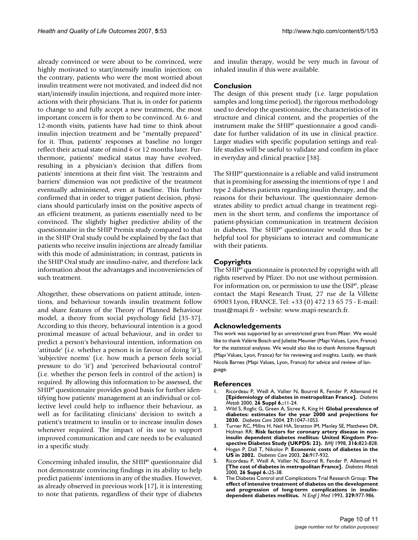already convinced or were about to be convinced, were highly motivated to start/intensify insulin injection; on the contrary, patients who were the most worried about insulin treatment were not motivated, and indeed did not start/intensify insulin injections, and required more interactions with their physicians. That is, in order for patients to change to and fully accept a new treatment, the most important concern is for them to be convinced. At 6- and 12-month visits, patients have had time to think about insulin injection treatment and be "mentally prepared" for it. Thus, patients' responses at baseline no longer reflect their actual state of mind 6 or 12 months later. Furthermore, patients' medical status may have evolved, resulting in a physician's decision that differs from patients' intentions at their first visit. The 'restraints and barriers' dimension was not predictive of the treatment eventually administered, even at baseline. This further confirmed that in order to trigger patient decision, physicians should particularly insist on the positive aspects of an efficient treatment, as patients essentially need to be convinced. The slightly higher predictive ability of the questionnaire in the SHIP Premix study compared to that in the SHIP Oral study could be explained by the fact that patients who receive insulin injections are already familiar with this mode of administration; in contrast, patients in the SHIP Oral study are insulino-naïve, and therefore lack information about the advantages and inconveniencies of such treatment.

Altogether, these observations on patient attitude, intentions, and behaviour towards insulin treatment follow and share features of the Theory of Planned Behaviour model, a theory from social psychology field [35-37]. According to this theory, behavioural intention is a good proximal measure of actual behaviour, and in order to predict a person's behavioural intention, information on 'attitude' (i.e. whether a person is in favour of doing 'it'), 'subjective norms' (i.e. how much a person feels social pressure to do 'it') and 'perceived behavioural control' (i.e. whether the person feels in control of the action) is required. By allowing this information to be assessed, the SHIP<sup>®</sup> questionnaire provides good basis for further identifying how patients' management at an individual or collective level could help to influence their behaviour, as well as for facilitating clinicians' decision to switch a patient's treatment to insulin or to increase insulin doses whenever required. The impact of its use to support improved communication and care needs to be evaluated in a specific study.

Concerning inhaled insulin, the SHIP<sup>®</sup> questionnaire did not demonstrate convincing findings in its ability to help predict patients' intentions in any of the studies. However, as already observed in previous work [17], it is interesting to note that patients, regardless of their type of diabetes and insulin therapy, would be very much in favour of inhaled insulin if this were available.

# **Conclusion**

The design of this present study (i.e. large population samples and long time period), the rigorous methodology used to develop the questionnaire, the characteristics of its structure and clinical content, and the properties of the instrument make the  $SHIP<sup>°</sup>$  questionnaire a good candidate for further validation of its use in clinical practice. Larger studies with specific population settings and reallife studies will be useful to validate and confirm its place in everyday and clinical practice [38].

The SHIP<sup>®</sup> questionnaire is a reliable and valid instrument that is promising for assessing the intentions of type 1 and type 2 diabetes patients regarding insulin therapy, and the reasons for their behaviour. The questionnaire demonstrates ability to predict actual change in treatment regimen in the short term, and confirms the importance of patient-physician communication in treatment decision in diabetes. The SHIP<sup>®</sup> questionnaire would thus be a helpful tool for physicians to interact and communicate with their patients.

# **Copyrights**

The SHIP<sup>®</sup> questionnaire is protected by copyright with all rights reserved by Pfizer. Do not use without permission. For information on, or permission to use the USP<sup>®</sup>, please contact the Mapi Research Trust, 27 rue de la Villette 69003 Lyon, FRANCE. Tel: +33 (0) 472 13 65 75 - E-mail: trust@mapi.fr - website: www.mapi-research.fr.

### **Acknowledgements**

This work was supported by an unrestricted grant from Pfizer. We would like to thank Valérie Bosch and Juliette Meunier (Mapi Values, Lyon, France) for the statistical analyses. We would also like to thank Antoine Regnault (Mapi Values, Lyon, France) for his reviewing and insights. Lastly, we thank Nicola Barnes (Mapi Values, Lyon, France) for advice and review of language.

#### **References**

- 1. Ricordeau P, Weill A, Vallier N, Bourrel R, Fender P, Allemand H: **[\[Epidemiology of diabetes in metropolitan France\].](http://www.ncbi.nlm.nih.gov/entrez/query.fcgi?cmd=Retrieve&db=PubMed&dopt=Abstract&list_uids=11011236)** *Diabetes Metab* 2000, **26 Suppl 6.:**11-24.
- 2. Wild S, Roglic G, Green A, Sicree R, King H: **[Global prevalence of](http://www.ncbi.nlm.nih.gov/entrez/query.fcgi?cmd=Retrieve&db=PubMed&dopt=Abstract&list_uids=15111519) [diabetes: estimates for the year 2000 and projections for](http://www.ncbi.nlm.nih.gov/entrez/query.fcgi?cmd=Retrieve&db=PubMed&dopt=Abstract&list_uids=15111519) [2030.](http://www.ncbi.nlm.nih.gov/entrez/query.fcgi?cmd=Retrieve&db=PubMed&dopt=Abstract&list_uids=15111519)** *Diabetes Care* 2004, **27:**1047-1053.
- 3. Turner RC, Millns H, Neil HA, Stratton IM, Manley SE, Matthews DR, Holman RR: **[Risk factors for coronary artery disease in non](http://www.ncbi.nlm.nih.gov/entrez/query.fcgi?cmd=Retrieve&db=PubMed&dopt=Abstract&list_uids=9549452)[insulin dependent diabetes mellitus: United Kingdom Pro](http://www.ncbi.nlm.nih.gov/entrez/query.fcgi?cmd=Retrieve&db=PubMed&dopt=Abstract&list_uids=9549452)[spective Diabetes Study \(UKPDS: 23\).](http://www.ncbi.nlm.nih.gov/entrez/query.fcgi?cmd=Retrieve&db=PubMed&dopt=Abstract&list_uids=9549452)** *BMJ* 1998, **316:**823-828.
- 4. Hogan P, Dall T, Nikolov P: **[Economic costs of diabetes in the](http://www.ncbi.nlm.nih.gov/entrez/query.fcgi?cmd=Retrieve&db=PubMed&dopt=Abstract&list_uids=12610059) [US in 2002.](http://www.ncbi.nlm.nih.gov/entrez/query.fcgi?cmd=Retrieve&db=PubMed&dopt=Abstract&list_uids=12610059)** *Diabetes Care* 2003, **26:**917-932.
- 5. Ricordeau P, Weill A, Vallier N, Bourrel R, Fender P, Allemand H: **[\[The cost of diabetes in metropolitan France\].](http://www.ncbi.nlm.nih.gov/entrez/query.fcgi?cmd=Retrieve&db=PubMed&dopt=Abstract&list_uids=11011237)** *Diabetes Metab* 2000, **26 Suppl 6.:**25-38.
- 6. The Diabetes Control and Complications Trial Research Group: **[The](http://www.ncbi.nlm.nih.gov/entrez/query.fcgi?cmd=Retrieve&db=PubMed&dopt=Abstract&list_uids=8366922) effect of intensive treatment of diabetes on the development [and progression of long-term complications in insulin](http://www.ncbi.nlm.nih.gov/entrez/query.fcgi?cmd=Retrieve&db=PubMed&dopt=Abstract&list_uids=8366922)[dependent diabetes mellitus.](http://www.ncbi.nlm.nih.gov/entrez/query.fcgi?cmd=Retrieve&db=PubMed&dopt=Abstract&list_uids=8366922)** *N Engl J Med* 1993, **329:**977-986.